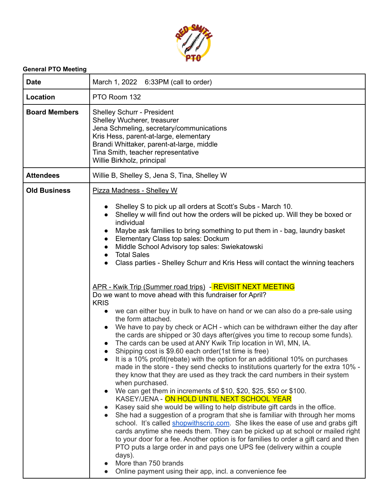

## **General PTO Meeting**

| <b>Date</b>          | March 1, 2022 6:33PM (call to order)                                                                                                                                                                                                                                                                                                                                                                                                                                                                                                                                                                                                                                                                                                                                                                                                                                                                                                                                                                                                                                                                                                                                                                                                                                                                                                                                                                                                                                                                                                                                                                                                                                                                                                                                                                                                                                                                                                                                                                                                                       |
|----------------------|------------------------------------------------------------------------------------------------------------------------------------------------------------------------------------------------------------------------------------------------------------------------------------------------------------------------------------------------------------------------------------------------------------------------------------------------------------------------------------------------------------------------------------------------------------------------------------------------------------------------------------------------------------------------------------------------------------------------------------------------------------------------------------------------------------------------------------------------------------------------------------------------------------------------------------------------------------------------------------------------------------------------------------------------------------------------------------------------------------------------------------------------------------------------------------------------------------------------------------------------------------------------------------------------------------------------------------------------------------------------------------------------------------------------------------------------------------------------------------------------------------------------------------------------------------------------------------------------------------------------------------------------------------------------------------------------------------------------------------------------------------------------------------------------------------------------------------------------------------------------------------------------------------------------------------------------------------------------------------------------------------------------------------------------------------|
| Location             | PTO Room 132                                                                                                                                                                                                                                                                                                                                                                                                                                                                                                                                                                                                                                                                                                                                                                                                                                                                                                                                                                                                                                                                                                                                                                                                                                                                                                                                                                                                                                                                                                                                                                                                                                                                                                                                                                                                                                                                                                                                                                                                                                               |
| <b>Board Members</b> | <b>Shelley Schurr - President</b><br>Shelley Wucherer, treasurer<br>Jena Schmeling, secretary/communications<br>Kris Hess, parent-at-large, elementary<br>Brandi Whittaker, parent-at-large, middle<br>Tina Smith, teacher representative<br>Willie Birkholz, principal                                                                                                                                                                                                                                                                                                                                                                                                                                                                                                                                                                                                                                                                                                                                                                                                                                                                                                                                                                                                                                                                                                                                                                                                                                                                                                                                                                                                                                                                                                                                                                                                                                                                                                                                                                                    |
| <b>Attendees</b>     | Willie B, Shelley S, Jena S, Tina, Shelley W                                                                                                                                                                                                                                                                                                                                                                                                                                                                                                                                                                                                                                                                                                                                                                                                                                                                                                                                                                                                                                                                                                                                                                                                                                                                                                                                                                                                                                                                                                                                                                                                                                                                                                                                                                                                                                                                                                                                                                                                               |
| <b>Old Business</b>  | <b>Pizza Madness - Shelley W</b><br>Shelley S to pick up all orders at Scott's Subs - March 10.<br>Shelley w will find out how the orders will be picked up. Will they be boxed or<br>individual<br>Maybe ask families to bring something to put them in - bag, laundry basket<br>Elementary Class top sales: Dockum<br>$\bullet$<br>Middle School Advisory top sales: Swiekatowski<br>$\bullet$<br><b>Total Sales</b><br>Class parties - Shelley Schurr and Kris Hess will contact the winning teachers<br>$\bullet$<br>APR - Kwik Trip (Summer road trips) - REVISIT NEXT MEETING<br>Do we want to move ahead with this fundraiser for April?<br><b>KRIS</b><br>we can either buy in bulk to have on hand or we can also do a pre-sale using<br>$\bullet$<br>the form attached.<br>We have to pay by check or ACH - which can be withdrawn either the day after<br>$\bullet$<br>the cards are shipped or 30 days after (gives you time to recoup some funds).<br>The cards can be used at ANY Kwik Trip location in WI, MN, IA.<br>Shipping cost is \$9.60 each order(1st time is free)<br>It is a 10% profit(rebate) with the option for an additional 10% on purchases<br>made in the store - they send checks to institutions quarterly for the extra 10% -<br>they know that they are used as they track the card numbers in their system<br>when purchased.<br>We can get them in increments of \$10, \$20, \$25, \$50 or \$100.<br>$\bullet$<br>KASEY/JENA - ON HOLD UNTIL NEXT SCHOOL YEAR<br>Kasey said she would be willing to help distribute gift cards in the office.<br>$\bullet$<br>She had a suggestion of a program that she is familiar with through her moms<br>school. It's called shopwithscrip.com. She likes the ease of use and grabs gift<br>cards anytime she needs them. They can be picked up at school or mailed right<br>to your door for a fee. Another option is for families to order a gift card and then<br>PTO puts a large order in and pays one UPS fee (delivery within a couple<br>days).<br>More than 750 brands |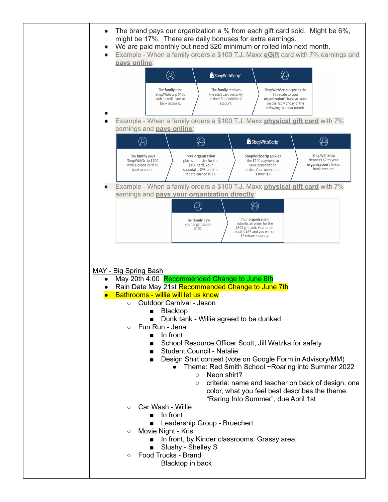